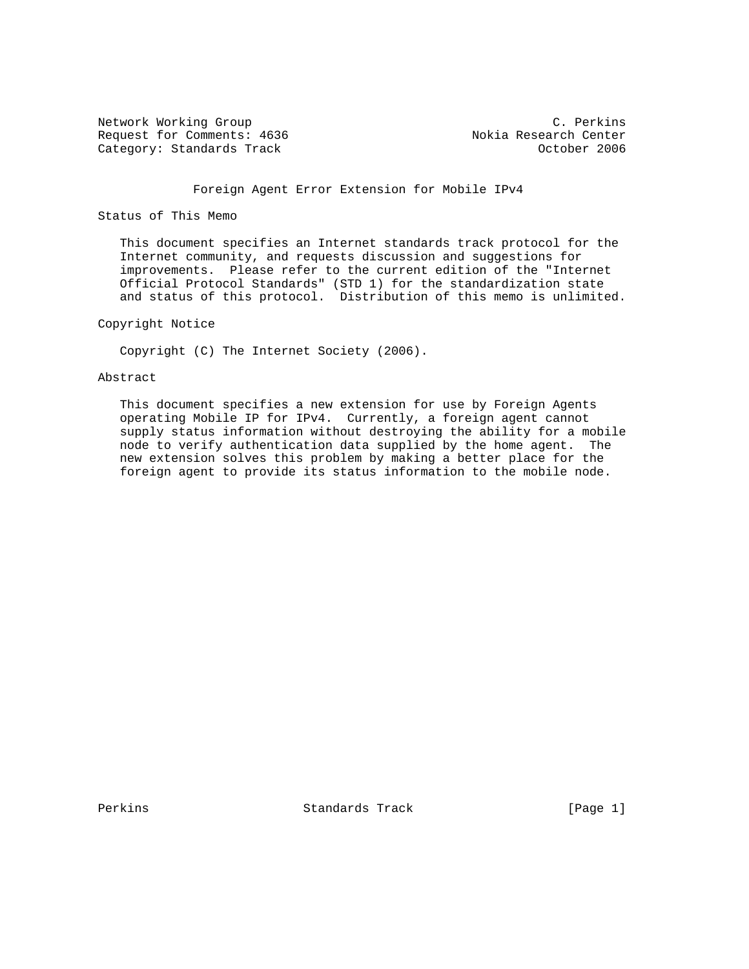Network Working Group C. Perkins Request for Comments: 4636 Nokia Research Center<br>Category: Standards Track Category: Standards Track Category: Standards Track

# Foreign Agent Error Extension for Mobile IPv4

## Status of This Memo

 This document specifies an Internet standards track protocol for the Internet community, and requests discussion and suggestions for improvements. Please refer to the current edition of the "Internet Official Protocol Standards" (STD 1) for the standardization state and status of this protocol. Distribution of this memo is unlimited.

## Copyright Notice

Copyright (C) The Internet Society (2006).

## Abstract

 This document specifies a new extension for use by Foreign Agents operating Mobile IP for IPv4. Currently, a foreign agent cannot supply status information without destroying the ability for a mobile node to verify authentication data supplied by the home agent. The new extension solves this problem by making a better place for the foreign agent to provide its status information to the mobile node.

Perkins **Example 2** Standards Track **Example 2** [Page 1]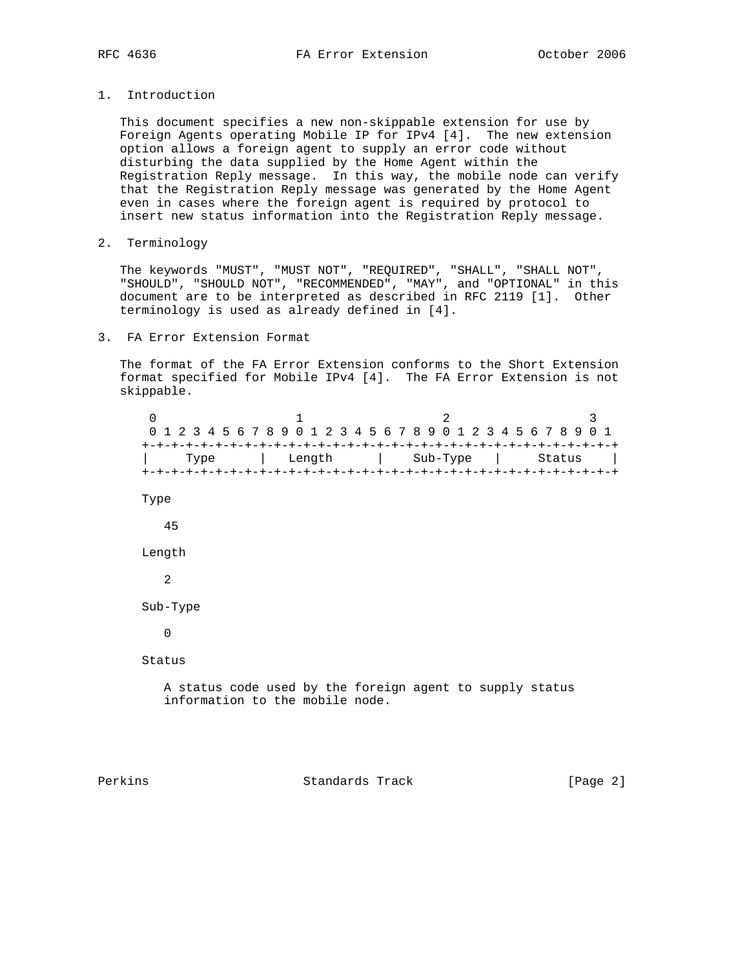- 
- 1. Introduction

 This document specifies a new non-skippable extension for use by Foreign Agents operating Mobile IP for IPv4 [4]. The new extension option allows a foreign agent to supply an error code without disturbing the data supplied by the Home Agent within the Registration Reply message. In this way, the mobile node can verify that the Registration Reply message was generated by the Home Agent even in cases where the foreign agent is required by protocol to insert new status information into the Registration Reply message.

2. Terminology

 The keywords "MUST", "MUST NOT", "REQUIRED", "SHALL", "SHALL NOT", "SHOULD", "SHOULD NOT", "RECOMMENDED", "MAY", and "OPTIONAL" in this document are to be interpreted as described in RFC 2119 [1]. Other terminology is used as already defined in [4].

3. FA Error Extension Format

 The format of the FA Error Extension conforms to the Short Extension format specified for Mobile IPv4 [4]. The FA Error Extension is not skippable.

 $0$  1 2 3 0 1 2 3 4 5 6 7 8 9 0 1 2 3 4 5 6 7 8 9 0 1 2 3 4 5 6 7 8 9 0 1 +-+-+-+-+-+-+-+-+-+-+-+-+-+-+-+-+-+-+-+-+-+-+-+-+-+-+-+-+-+-+-+-+ | Type | Length | Sub-Type | Status | +-+-+-+-+-+-+-+-+-+-+-+-+-+-+-+-+-+-+-+-+-+-+-+-+-+-+-+-+-+-+-+-+ Type 45 Length 2 Sub-Type 0 Status A status code used by the foreign agent to supply status information to the mobile node.

Perkins **Example 2** Standards Track **Example 2** [Page 2]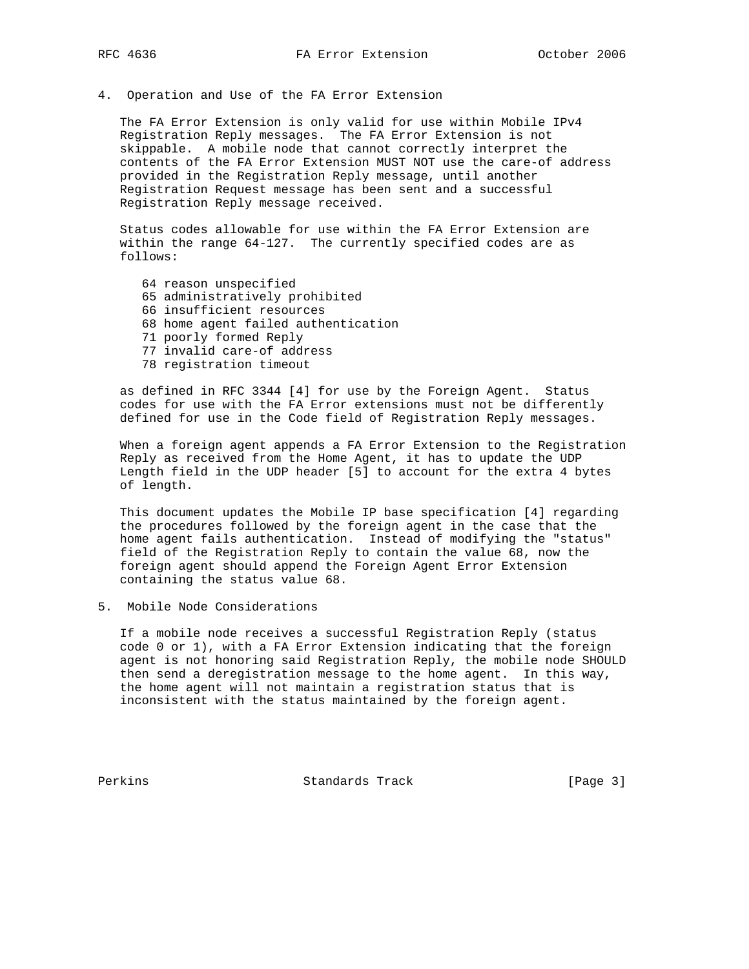4. Operation and Use of the FA Error Extension

 The FA Error Extension is only valid for use within Mobile IPv4 Registration Reply messages. The FA Error Extension is not skippable. A mobile node that cannot correctly interpret the contents of the FA Error Extension MUST NOT use the care-of address provided in the Registration Reply message, until another Registration Request message has been sent and a successful Registration Reply message received.

 Status codes allowable for use within the FA Error Extension are within the range 64-127. The currently specified codes are as follows:

 64 reason unspecified 65 administratively prohibited 66 insufficient resources 68 home agent failed authentication 71 poorly formed Reply 77 invalid care-of address 78 registration timeout

 as defined in RFC 3344 [4] for use by the Foreign Agent. Status codes for use with the FA Error extensions must not be differently defined for use in the Code field of Registration Reply messages.

 When a foreign agent appends a FA Error Extension to the Registration Reply as received from the Home Agent, it has to update the UDP Length field in the UDP header [5] to account for the extra 4 bytes of length.

 This document updates the Mobile IP base specification [4] regarding the procedures followed by the foreign agent in the case that the home agent fails authentication. Instead of modifying the "status" field of the Registration Reply to contain the value 68, now the foreign agent should append the Foreign Agent Error Extension containing the status value 68.

5. Mobile Node Considerations

 If a mobile node receives a successful Registration Reply (status code 0 or 1), with a FA Error Extension indicating that the foreign agent is not honoring said Registration Reply, the mobile node SHOULD then send a deregistration message to the home agent. In this way, the home agent will not maintain a registration status that is inconsistent with the status maintained by the foreign agent.

Perkins **Example 2** Standards Track **Example 2** [Page 3]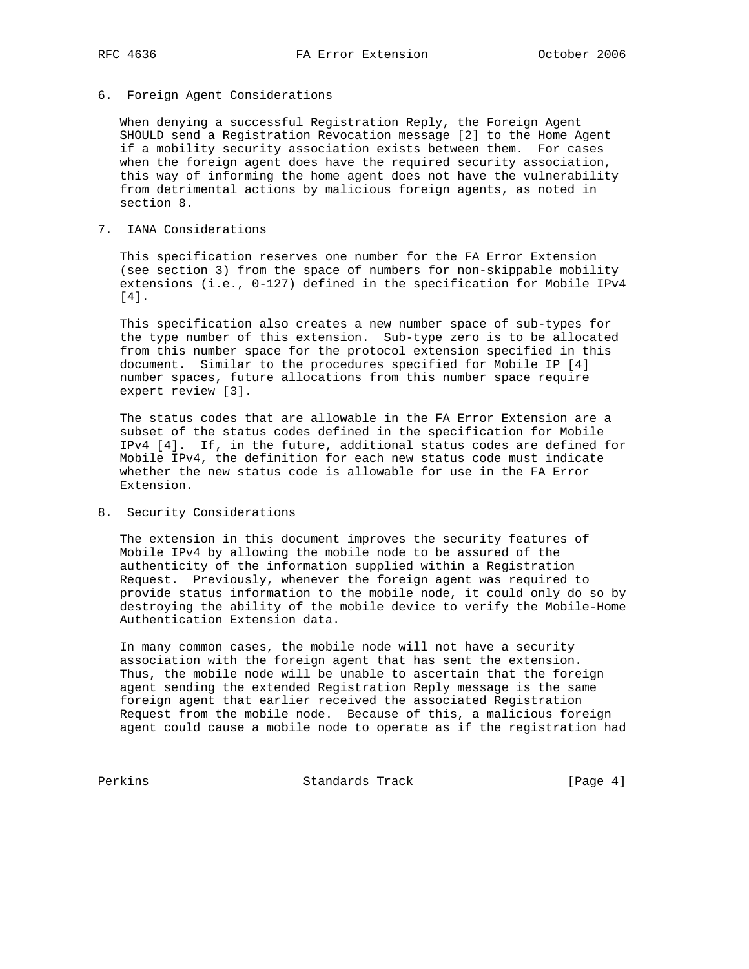## 6. Foreign Agent Considerations

 When denying a successful Registration Reply, the Foreign Agent SHOULD send a Registration Revocation message [2] to the Home Agent if a mobility security association exists between them. For cases when the foreign agent does have the required security association, this way of informing the home agent does not have the vulnerability from detrimental actions by malicious foreign agents, as noted in section 8.

## 7. IANA Considerations

 This specification reserves one number for the FA Error Extension (see section 3) from the space of numbers for non-skippable mobility extensions (i.e., 0-127) defined in the specification for Mobile IPv4 [4].

 This specification also creates a new number space of sub-types for the type number of this extension. Sub-type zero is to be allocated from this number space for the protocol extension specified in this document. Similar to the procedures specified for Mobile IP [4] number spaces, future allocations from this number space require expert review [3].

 The status codes that are allowable in the FA Error Extension are a subset of the status codes defined in the specification for Mobile IPv4 [4]. If, in the future, additional status codes are defined for Mobile IPv4, the definition for each new status code must indicate whether the new status code is allowable for use in the FA Error Extension.

8. Security Considerations

 The extension in this document improves the security features of Mobile IPv4 by allowing the mobile node to be assured of the authenticity of the information supplied within a Registration Request. Previously, whenever the foreign agent was required to provide status information to the mobile node, it could only do so by destroying the ability of the mobile device to verify the Mobile-Home Authentication Extension data.

 In many common cases, the mobile node will not have a security association with the foreign agent that has sent the extension. Thus, the mobile node will be unable to ascertain that the foreign agent sending the extended Registration Reply message is the same foreign agent that earlier received the associated Registration Request from the mobile node. Because of this, a malicious foreign agent could cause a mobile node to operate as if the registration had

Perkins Standards Track [Page 4]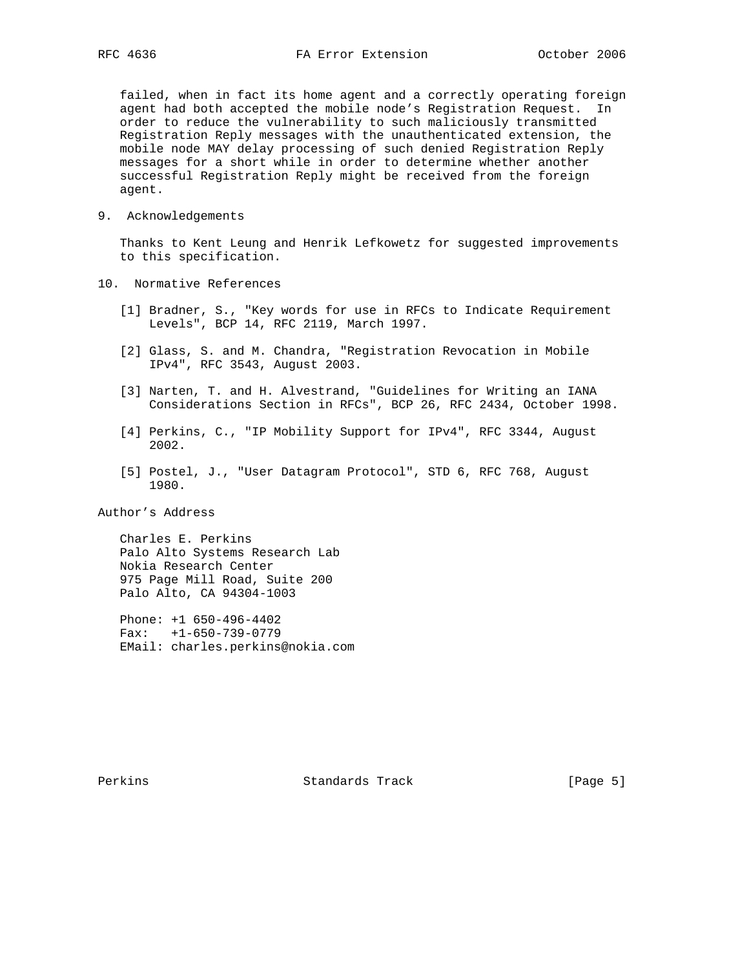failed, when in fact its home agent and a correctly operating foreign agent had both accepted the mobile node's Registration Request. In order to reduce the vulnerability to such maliciously transmitted Registration Reply messages with the unauthenticated extension, the mobile node MAY delay processing of such denied Registration Reply messages for a short while in order to determine whether another successful Registration Reply might be received from the foreign agent.

9. Acknowledgements

 Thanks to Kent Leung and Henrik Lefkowetz for suggested improvements to this specification.

- 10. Normative References
	- [1] Bradner, S., "Key words for use in RFCs to Indicate Requirement Levels", BCP 14, RFC 2119, March 1997.
	- [2] Glass, S. and M. Chandra, "Registration Revocation in Mobile IPv4", RFC 3543, August 2003.
	- [3] Narten, T. and H. Alvestrand, "Guidelines for Writing an IANA Considerations Section in RFCs", BCP 26, RFC 2434, October 1998.
	- [4] Perkins, C., "IP Mobility Support for IPv4", RFC 3344, August 2002.
	- [5] Postel, J., "User Datagram Protocol", STD 6, RFC 768, August 1980.

Author's Address

 Charles E. Perkins Palo Alto Systems Research Lab Nokia Research Center 975 Page Mill Road, Suite 200 Palo Alto, CA 94304-1003

 Phone: +1 650-496-4402 Fax: +1-650-739-0779 EMail: charles.perkins@nokia.com

Perkins **Example 2** Standards Track **Figure 2** [Page 5]